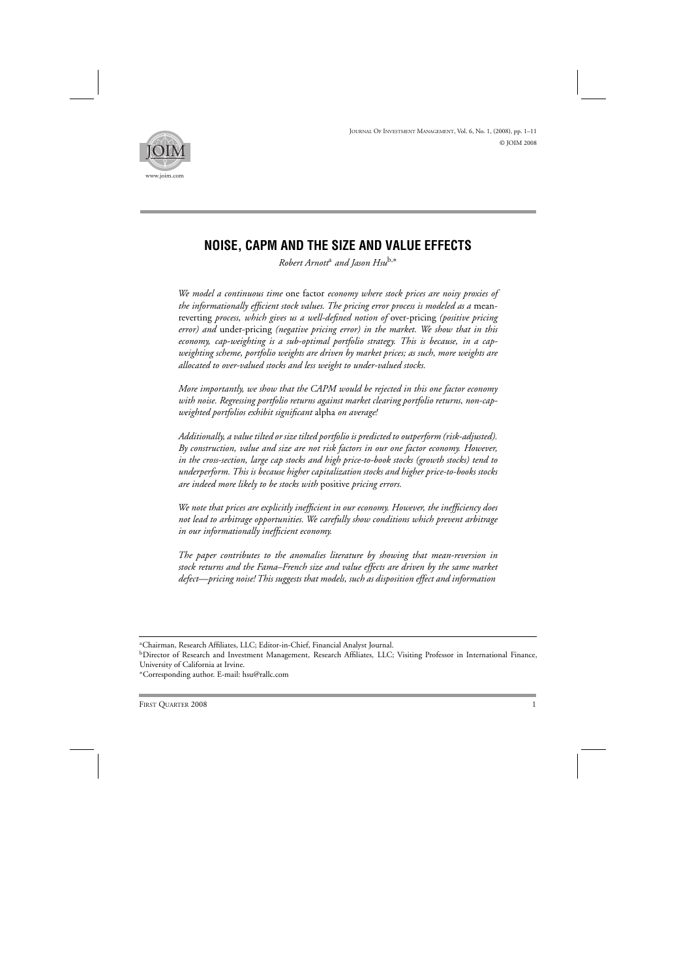

# **NOISE, CAPM AND THE SIZE AND VALUE EFFECTS**

*Robert Arnott*<sup>a</sup> *and Jason Hsu*b,<sup>∗</sup>

*We model a continuous time* one factor *economy where stock prices are noisy proxies of the informationally efficient stock values. The pricing error process is modeled as a* meanreverting *process, which gives us a well-defined notion of* over-pricing *(positive pricing error) and* under-pricing *(negative pricing error) in the market. We show that in this economy, cap-weighting is a sub-optimal portfolio strategy. This is because, in a capweighting scheme, portfolio weights are driven by market prices; as such, more weights are allocated to over-valued stocks and less weight to under-valued stocks.*

*More importantly, we show that the CAPM would be rejected in this one factor economy with noise. Regressing portfolio returns against market clearing portfolio returns, non-capweighted portfolios exhibit significant* alpha *on average!*

*Additionally, a value tilted or size tilted portfolio is predicted to outperform (risk-adjusted). By construction, value and size are not risk factors in our one factor economy. However, in the cross-section, large cap stocks and high price-to-book stocks (growth stocks) tend to underperform. This is because higher capitalization stocks and higher price-to-books stocks are indeed more likely to be stocks with* positive *pricing errors.*

*We note that prices are explicitly inefficient in our economy. However, the inefficiency does not lead to arbitrage opportunities. We carefully show conditions which prevent arbitrage in our informationally inefficient economy.*

*The paper contributes to the anomalies literature by showing that mean-reversion in stock returns and the Fama–French size and value effects are driven by the same market defect—pricing noise! This suggests that models, such as disposition effect and information*

a Chairman, Research Affiliates, LLC; Editor-in-Chief, Financial Analyst Journal.

<sup>&</sup>lt;sup>b</sup>Director of Research and Investment Management, Research Affiliates, LLC; Visiting Professor in International Finance, University of California at Irvine.

<sup>∗</sup>Corresponding author. E-mail: hsu@rallc.com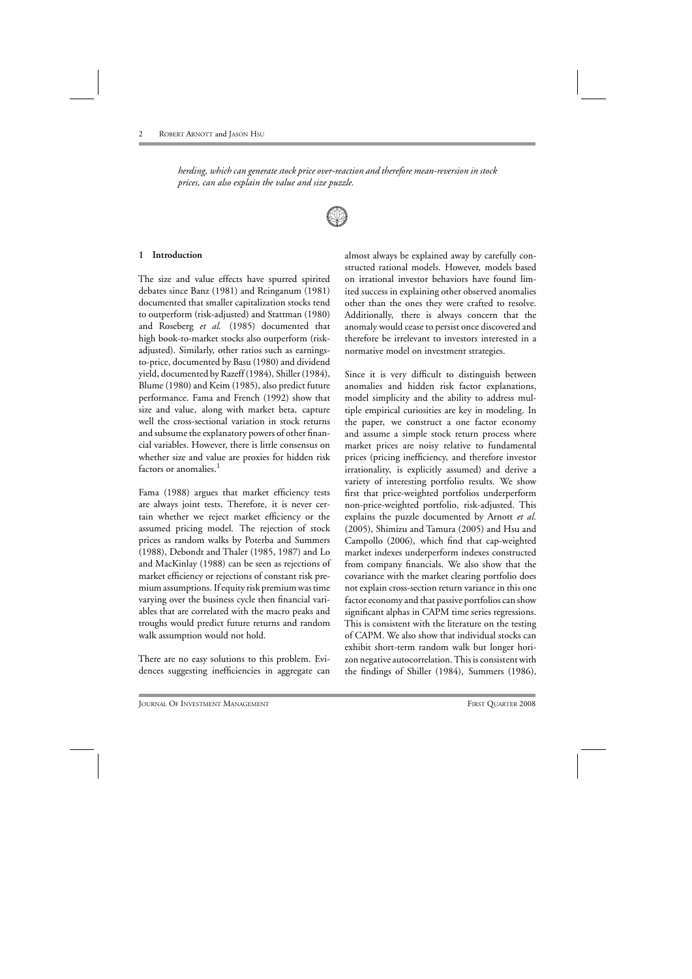*herding, which can generate stock price over-reaction and therefore mean-reversion in stock prices, can also explain the value and size puzzle.*



## **1 Introduction**

The size and value effects have spurred spirited debates since Banz (1981) and Reinganum (1981) documented that smaller capitalization stocks tend to outperform (risk-adjusted) and Stattman (1980) and Roseberg *et al.* (1985) documented that high book-to-market stocks also outperform (riskadjusted). Similarly, other ratios such as earningsto-price, documented by Basu (1980) and dividend yield, documented by Razeff (1984), Shiller (1984), Blume (1980) and Keim (1985), also predict future performance. Fama and French (1992) show that size and value, along with market beta, capture well the cross-sectional variation in stock returns and subsume the explanatory powers of other financial variables. However, there is little consensus on whether size and value are proxies for hidden risk factors or anomalies.<sup>1</sup>

Fama (1988) argues that market efficiency tests are always joint tests. Therefore, it is never certain whether we reject market efficiency or the assumed pricing model. The rejection of stock prices as random walks by Poterba and Summers (1988), Debondt and Thaler (1985, 1987) and Lo and MacKinlay (1988) can be seen as rejections of market efficiency or rejections of constant risk premium assumptions. If equity risk premium was time varying over the business cycle then financial variables that are correlated with the macro peaks and troughs would predict future returns and random walk assumption would not hold.

There are no easy solutions to this problem. Evidences suggesting inefficiencies in aggregate can almost always be explained away by carefully constructed rational models. However, models based on irrational investor behaviors have found limited success in explaining other observed anomalies other than the ones they were crafted to resolve. Additionally, there is always concern that the anomaly would cease to persist once discovered and therefore be irrelevant to investors interested in a normative model on investment strategies.

Since it is very difficult to distinguish between anomalies and hidden risk factor explanations, model simplicity and the ability to address multiple empirical curiosities are key in modeling. In the paper, we construct a one factor economy and assume a simple stock return process where market prices are noisy relative to fundamental prices (pricing inefficiency, and therefore investor irrationality, is explicitly assumed) and derive a variety of interesting portfolio results. We show first that price-weighted portfolios underperform non-price-weighted portfolio, risk-adjusted. This explains the puzzle documented by Arnott *et al.* (2005), Shimizu and Tamura (2005) and Hsu and Campollo (2006), which find that cap-weighted market indexes underperform indexes constructed from company financials. We also show that the covariance with the market clearing portfolio does not explain cross-section return variance in this one factor economy and that passive portfolios can show significant alphas in CAPM time series regressions. This is consistent with the literature on the testing of CAPM. We also show that individual stocks can exhibit short-term random walk but longer horizon negative autocorrelation. This is consistent with the findings of Shiller (1984), Summers (1986),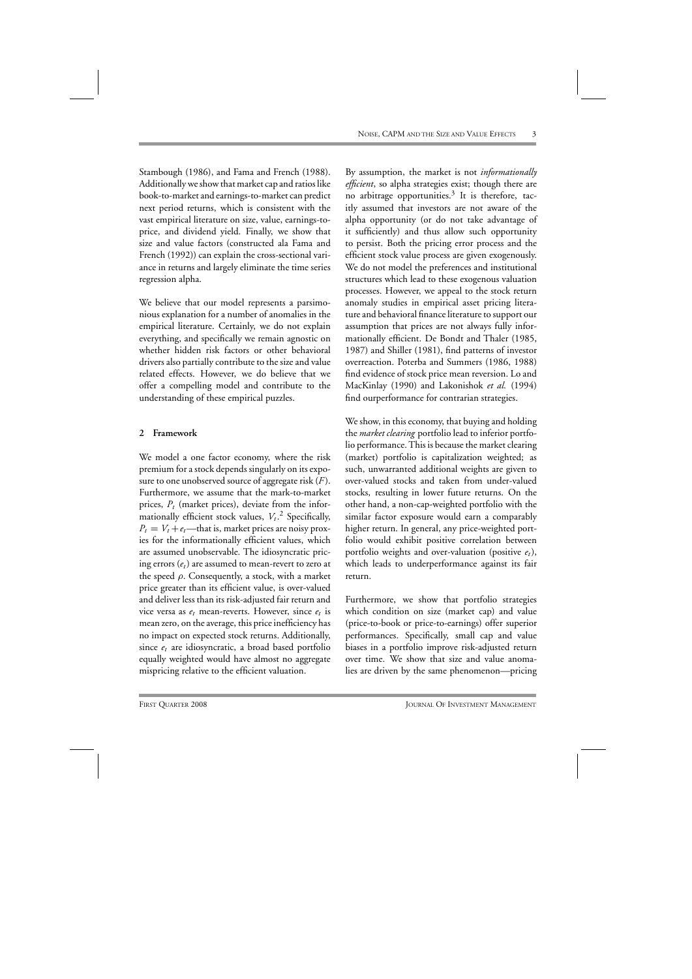Stambough (1986), and Fama and French (1988). Additionally we show that market cap and ratios like book-to-market and earnings-to-market can predict next period returns, which is consistent with the vast empirical literature on size, value, earnings-toprice, and dividend yield. Finally, we show that size and value factors (constructed ala Fama and French (1992)) can explain the cross-sectional variance in returns and largely eliminate the time series regression alpha.

We believe that our model represents a parsimonious explanation for a number of anomalies in the empirical literature. Certainly, we do not explain everything, and specifically we remain agnostic on whether hidden risk factors or other behavioral drivers also partially contribute to the size and value related effects. However, we do believe that we offer a compelling model and contribute to the understanding of these empirical puzzles.

# **2 Framework**

We model a one factor economy, where the risk premium for a stock depends singularly on its exposure to one unobserved source of aggregate risk (*F* ). Furthermore, we assume that the mark-to-market prices,  $P_t$  (market prices), deviate from the informationally efficient stock values,  $V_t$ .<sup>2</sup> Specifically,  $P_t = V_t + e_t$ —that is, market prices are noisy proxies for the informationally efficient values, which are assumed unobservable. The idiosyncratic pricing errors  $(e_t)$  are assumed to mean-revert to zero at the speed  $\rho$ . Consequently, a stock, with a market price greater than its efficient value, is over-valued and deliver less than its risk-adjusted fair return and vice versa as  $e_t$  mean-reverts. However, since  $e_t$  is mean zero, on the average, this price inefficiency has no impact on expected stock returns. Additionally, since *et* are idiosyncratic, a broad based portfolio equally weighted would have almost no aggregate mispricing relative to the efficient valuation.

By assumption, the market is not *informationally efficient*, so alpha strategies exist; though there are no arbitrage opportunities.<sup>3</sup> It is therefore, tacitly assumed that investors are not aware of the alpha opportunity (or do not take advantage of it sufficiently) and thus allow such opportunity to persist. Both the pricing error process and the efficient stock value process are given exogenously. We do not model the preferences and institutional structures which lead to these exogenous valuation processes. However, we appeal to the stock return anomaly studies in empirical asset pricing literature and behavioral finance literature to support our assumption that prices are not always fully informationally efficient. De Bondt and Thaler (1985, 1987) and Shiller (1981), find patterns of investor overreaction. Poterba and Summers (1986, 1988) find evidence of stock price mean reversion. Lo and MacKinlay (1990) and Lakonishok *et al.* (1994) find ourperformance for contrarian strategies.

We show, in this economy, that buying and holding the *market clearing* portfolio lead to inferior portfolio performance. This is because the market clearing (market) portfolio is capitalization weighted; as such, unwarranted additional weights are given to over-valued stocks and taken from under-valued stocks, resulting in lower future returns. On the other hand, a non-cap-weighted portfolio with the similar factor exposure would earn a comparably higher return. In general, any price-weighted portfolio would exhibit positive correlation between portfolio weights and over-valuation (positive  $e_t$ ), which leads to underperformance against its fair return.

Furthermore, we show that portfolio strategies which condition on size (market cap) and value (price-to-book or price-to-earnings) offer superior performances. Specifically, small cap and value biases in a portfolio improve risk-adjusted return over time. We show that size and value anomalies are driven by the same phenomenon—pricing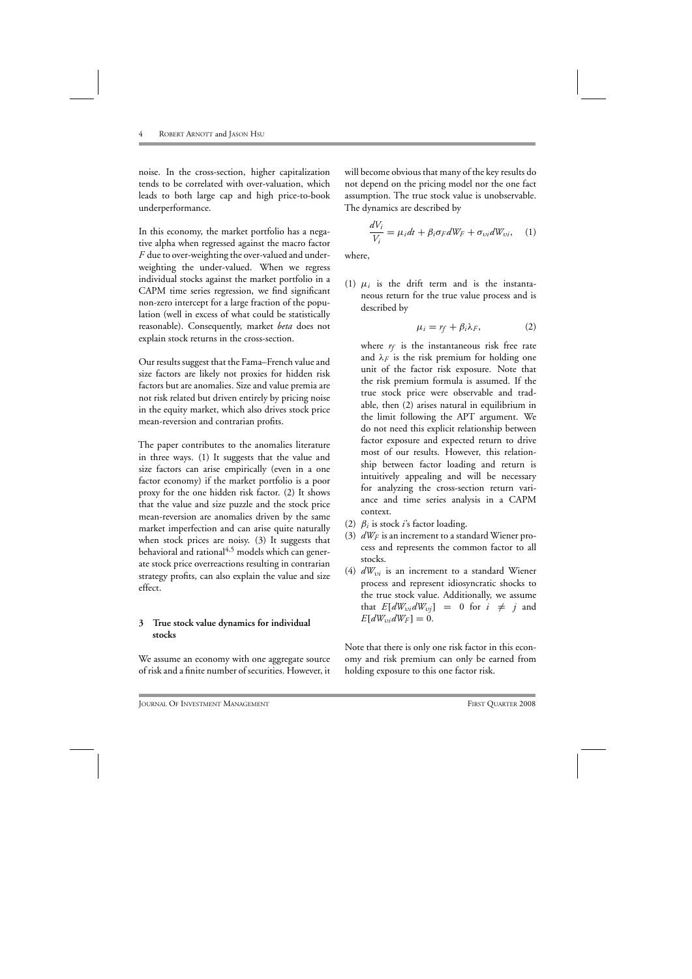noise. In the cross-section, higher capitalization tends to be correlated with over-valuation, which leads to both large cap and high price-to-book underperformance.

In this economy, the market portfolio has a negative alpha when regressed against the macro factor *F* due to over-weighting the over-valued and underweighting the under-valued. When we regress individual stocks against the market portfolio in a CAPM time series regression, we find significant non-zero intercept for a large fraction of the population (well in excess of what could be statistically reasonable). Consequently, market *beta* does not explain stock returns in the cross-section.

Our results suggest that the Fama–French value and size factors are likely not proxies for hidden risk factors but are anomalies. Size and value premia are not risk related but driven entirely by pricing noise in the equity market, which also drives stock price mean-reversion and contrarian profits.

The paper contributes to the anomalies literature in three ways. (1) It suggests that the value and size factors can arise empirically (even in a one factor economy) if the market portfolio is a poor proxy for the one hidden risk factor. (2) It shows that the value and size puzzle and the stock price mean-reversion are anomalies driven by the same market imperfection and can arise quite naturally when stock prices are noisy. (3) It suggests that behavioral and rational<sup>4,5</sup> models which can generate stock price overreactions resulting in contrarian strategy profits, can also explain the value and size effect.

# **3 True stock value dynamics for individual stocks**

We assume an economy with one aggregate source of risk and a finite number of securities. However, it will become obvious that many of the key results do not depend on the pricing model nor the one fact assumption. The true stock value is unobservable. The dynamics are described by

$$
\frac{dV_i}{V_i} = \mu_i dt + \beta_i \sigma_F dW_F + \sigma_{vi} dW_{vi}, \quad (1)
$$

where,

(1)  $\mu_i$  is the drift term and is the instantaneous return for the true value process and is described by

$$
\mu_i = r_f + \beta_i \lambda_F, \qquad (2)
$$

where  $r_f$  is the instantaneous risk free rate and  $\lambda_F$  is the risk premium for holding one unit of the factor risk exposure. Note that the risk premium formula is assumed. If the true stock price were observable and tradable, then (2) arises natural in equilibrium in the limit following the APT argument. We do not need this explicit relationship between factor exposure and expected return to drive most of our results. However, this relationship between factor loading and return is intuitively appealing and will be necessary for analyzing the cross-section return variance and time series analysis in a CAPM context.

- (2)  $\beta_i$  is stock *i*'s factor loading.
- (3)  $dW_F$  is an increment to a standard Wiener process and represents the common factor to all stocks.
- (4)  $dW_{vi}$  is an increment to a standard Wiener process and represent idiosyncratic shocks to the true stock value. Additionally, we assume that  $E[dW_{vi}dW_{vj}] = 0$  for  $i \neq j$  and  $E[dW_{vi}dW_F] = 0.$

Note that there is only one risk factor in this economy and risk premium can only be earned from holding exposure to this one factor risk.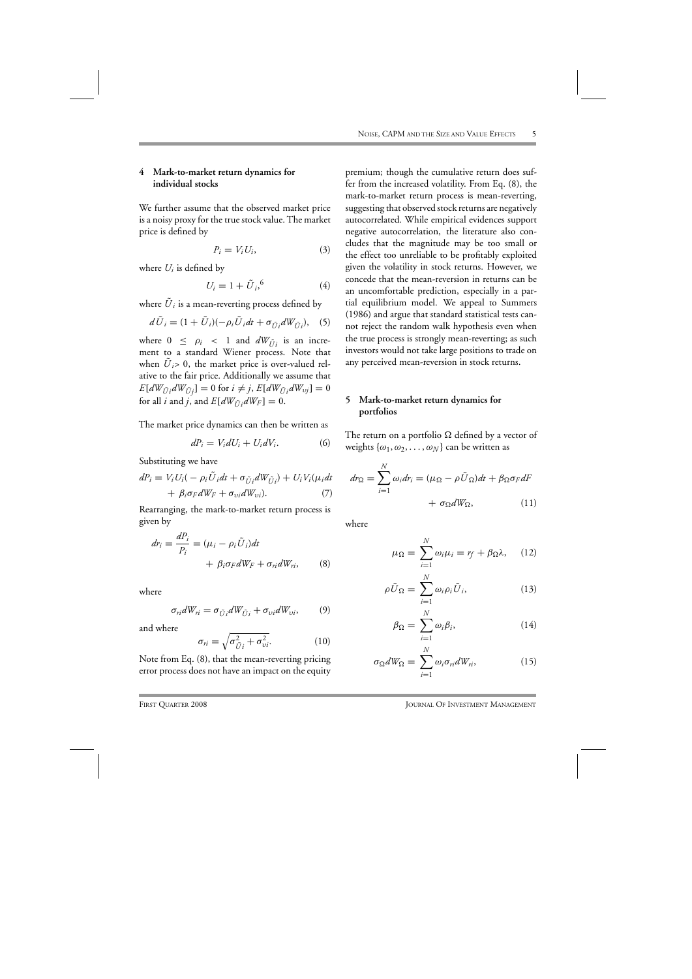# **4 Mark-to-market return dynamics for individual stocks**

We further assume that the observed market price is a noisy proxy for the true stock value. The market price is defined by

$$
P_i = V_i U_i, \tag{3}
$$

where  $U_i$  is defined by

$$
U_i = 1 + \tilde{U}_i, \qquad (4)
$$

where  $\tilde{U}_i$  is a mean-reverting process defined by

$$
d\tilde{U}_i = (1 + \tilde{U}_i)(-\rho_i \tilde{U}_i dt + \sigma_{\tilde{U}_i} dW_{\tilde{U}_i}), \quad (5)
$$

where  $0 \leq \rho_i < 1$  and  $dW_{\tilde{U}^i}$  is an increment to a standard Wiener process. Note that when  $U_i$  > 0, the market price is over-valued relative to the fair price. Additionally we assume that  $E[dW_{\tilde{U}i}dW_{\tilde{U}j}] = 0$  for  $i \neq j$ ,  $E[dW_{\tilde{U}i}dW_{\tilde{U}j}] = 0$ for all *i* and *j*, and  $E[dW_{\tilde{U}}/dW_F] = 0$ .

The market price dynamics can then be written as

$$
dP_i = V_i dU_i + U_i dV_i. \tag{6}
$$

Substituting we have

$$
dP_i = V_i U_i(-\rho_i \tilde{U}_i dt + \sigma_{\tilde{U}_i} dW_{\tilde{U}_i}) + U_i V_i(\mu_i dt + \beta_i \sigma_F dW_F + \sigma_{vi} dW_{vi}). \tag{7}
$$

Rearranging, the mark-to-market return process is given by

$$
dr_i = \frac{dP_i}{P_i} = (\mu_i - \rho_i \tilde{U}_i)dt
$$
  
+  $\beta_i \sigma_F dW_F + \sigma_{ri} dW_{ri},$  (8)

where

$$
\sigma_{ri}dW_{ri} = \sigma_{\tilde{U}i}dW_{\tilde{U}i} + \sigma_{vi}dW_{vi},\qquad(9)
$$

and where

$$
\sigma_{ri} = \sqrt{\sigma_{\tilde{U}i}^2 + \sigma_{vi}^2}.
$$
 (10)

Note from Eq. (8), that the mean-reverting pricing error process does not have an impact on the equity premium; though the cumulative return does suffer from the increased volatility. From Eq. (8), the mark-to-market return process is mean-reverting, suggesting that observed stock returns are negatively autocorrelated. While empirical evidences support negative autocorrelation, the literature also concludes that the magnitude may be too small or the effect too unreliable to be profitably exploited given the volatility in stock returns. However, we concede that the mean-reversion in returns can be an uncomfortable prediction, especially in a partial equilibrium model. We appeal to Summers (1986) and argue that standard statistical tests cannot reject the random walk hypothesis even when the true process is strongly mean-reverting; as such investors would not take large positions to trade on any perceived mean-reversion in stock returns.

# **5 Mark-to-market return dynamics for portfolios**

The return on a portfolio  $\Omega$  defined by a vector of weights  $\{\omega_1, \omega_2, \ldots, \omega_N\}$  can be written as

$$
dr_{\Omega} = \sum_{i=1}^{N} \omega_i dr_i = (\mu_{\Omega} - \rho \tilde{U}_{\Omega}) dt + \beta_{\Omega} \sigma_F dF
$$

$$
+ \sigma_{\Omega} dW_{\Omega}, \qquad (11)
$$

where

$$
\mu_{\Omega} = \sum_{i=1}^{N} \omega_i \mu_i = r_f + \beta_{\Omega} \lambda, \quad (12)
$$

$$
\rho \tilde{U}_{\Omega} = \sum_{i=1}^{N} \omega_i \rho_i \tilde{U}_i, \qquad (13)
$$

$$
\beta_{\Omega} = \sum_{i=1}^{N} \omega_i \beta_i, \qquad (14)
$$

$$
\sigma_{\Omega} dW_{\Omega} = \sum_{i=1}^{N} \omega_i \sigma_{ri} dW_{ri}, \qquad (15)
$$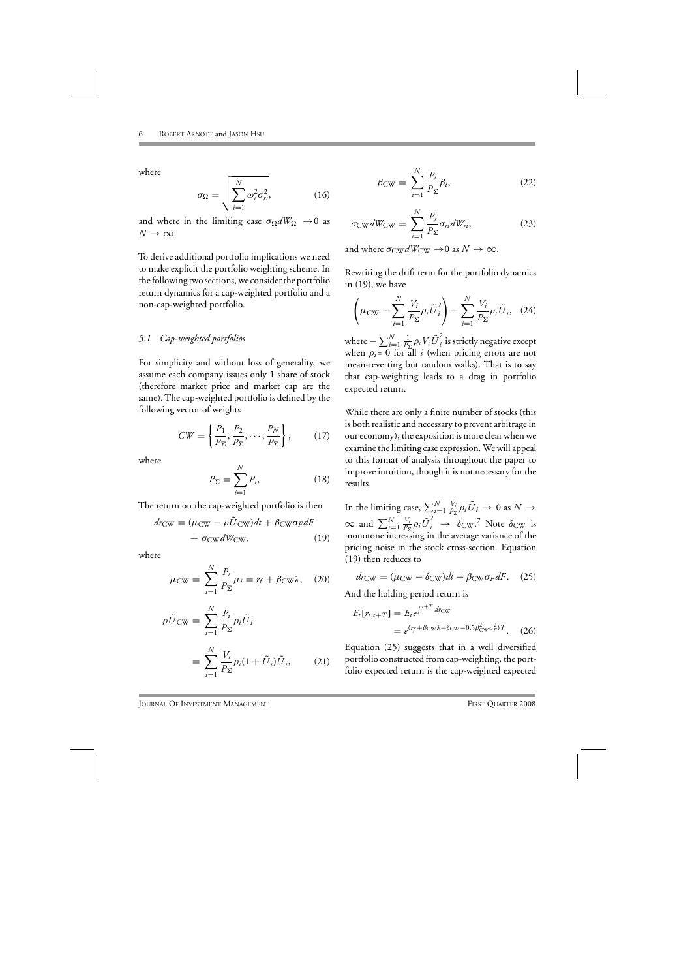where

$$
\sigma_{\Omega} = \sqrt{\sum_{i=1}^{N} \omega_i^2 \sigma_{ri}^2},
$$
 (16)

and where in the limiting case  $\sigma_{\Omega} dW_{\Omega} \rightarrow 0$  as  $N \rightarrow \infty$ .

To derive additional portfolio implications we need to make explicit the portfolio weighting scheme. In the following two sections, we consider the portfolio return dynamics for a cap-weighted portfolio and a non-cap-weighted portfolio.

#### *5.1 Cap-weighted portfolios*

For simplicity and without loss of generality, we assume each company issues only 1 share of stock (therefore market price and market cap are the same). The cap-weighted portfolio is defined by the following vector of weights

$$
CW = \left\{ \frac{P_1}{P_\Sigma}, \frac{P_2}{P_\Sigma}, \dots, \frac{P_N}{P_\Sigma} \right\},\tag{17}
$$

where

$$
P_{\Sigma} = \sum_{i=1}^{N} P_i,
$$
 (18)

The return on the cap-weighted portfolio is then

$$
dr_{\text{CW}} = (\mu_{\text{CW}} - \rho \tilde{U}_{\text{CW}})dt + \beta_{\text{CW}} \sigma_F dF + \sigma_{\text{CW}} dW_{\text{CW}},
$$
 (19)

where

$$
\mu_{\text{CW}} = \sum_{i=1}^{N} \frac{P_i}{P_{\Sigma}} \mu_i = r_f + \beta_{\text{CW}} \lambda, \quad (20)
$$

$$
\rho \tilde{U}_{\text{CW}} = \sum_{i=1}^{N} \frac{P_i}{P_{\Sigma}} \rho_i \tilde{U}_i
$$

$$
= \sum_{i=1}^{N} \frac{V_i}{P_{\Sigma}} \rho_i (1 + \tilde{U}_i) \tilde{U}_i, \qquad (21)
$$

$$
\beta_{\text{CW}} = \sum_{i=1}^{N} \frac{P_i}{P_{\Sigma}} \beta_i, \tag{22}
$$

$$
\sigma_{\text{CW}} dW_{\text{CW}} = \sum_{i=1}^{N} \frac{P_i}{P_{\Sigma}} \sigma_{ri} dW_{ri}, \qquad (23)
$$

and where  $\sigma_{\text{CW}} dW_{\text{CW}} \rightarrow 0$  as  $N \rightarrow \infty$ .

Rewriting the drift term for the portfolio dynamics in (19), we have

$$
\left(\mu_{\text{CW}} - \sum_{i=1}^{N} \frac{V_i}{P_{\Sigma}} \rho_i \tilde{U}_i^2\right) - \sum_{i=1}^{N} \frac{V_i}{P_{\Sigma}} \rho_i \tilde{U}_i, \quad (24)
$$

where  $-\sum_{i=1}^{N}\frac{1}{P_{\Sigma}}\rho_{i}V_{i}\tilde{U}_{i}^{2}$  is strictly negative except when  $\rho_i = 0$  for all *i* (when pricing errors are not mean-reverting but random walks). That is to say that cap-weighting leads to a drag in portfolio expected return.

While there are only a finite number of stocks (this is both realistic and necessary to prevent arbitrage in our economy), the exposition is more clear when we examine the limiting case expression. We will appeal to this format of analysis throughout the paper to improve intuition, though it is not necessary for the results.

In the limiting case,  $\sum_{i=1}^{N} \frac{V_i}{P_{\Sigma}} \rho_i \tilde{U}_i \to 0$  as  $N \to$  $\infty$  and  $\sum_{i=1}^{N} \frac{V_i}{P_{\Sigma}} \rho_i \tilde{U}_i^2 \rightarrow \delta_{\text{CW}}$ .<sup>7</sup> Note  $\delta_{\text{CW}}$  is monotone increasing in the average variance of the pricing noise in the stock cross-section. Equation (19) then reduces to

$$
dr_{\text{CW}} = (\mu_{\text{CW}} - \delta_{\text{CW}})dt + \beta_{\text{CW}}\sigma_F dF. \quad (25)
$$

And the holding period return is

$$
E_t[r_{t,t+T}] = E_t e^{\int_t^{t+T} dr_{\text{CW}}}
$$
  
=  $e^{(r_f + \beta_{\text{CW}}\lambda - \delta_{\text{CW}} - 0.5\beta_{\text{CW}}^2 \sigma_F^2)T}$ . (26)

Equation (25) suggests that in a well diversified portfolio constructed from cap-weighting, the portfolio expected return is the cap-weighted expected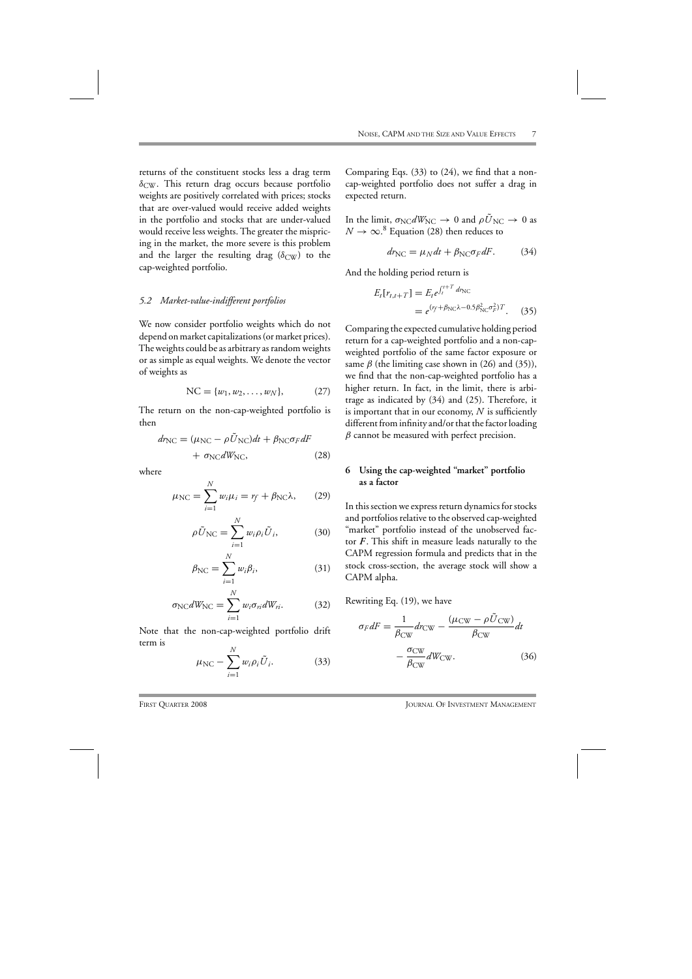returns of the constituent stocks less a drag term  $\delta_{\rm CW}$ . This return drag occurs because portfolio weights are positively correlated with prices; stocks that are over-valued would receive added weights in the portfolio and stocks that are under-valued would receive less weights. The greater the mispricing in the market, the more severe is this problem and the larger the resulting drag ( $\delta_{\rm CW}$ ) to the cap-weighted portfolio.

#### *5.2 Market-value-indifferent portfolios*

We now consider portfolio weights which do not depend on market capitalizations (or market prices). The weights could be as arbitrary as random weights or as simple as equal weights. We denote the vector of weights as

NC = 
$$
\{w_1, w_2, \dots, w_N\}
$$
, (27)

The return on the non-cap-weighted portfolio is then

$$
dr_{\rm NC} = (\mu_{\rm NC} - \rho \tilde{U}_{\rm NC})dt + \beta_{\rm NC}\sigma_F dF
$$

$$
+ \sigma_{\rm NC} dW_{\rm NC}, \qquad (28)
$$

where

$$
\mu_{\rm NC} = \sum_{i=1}^{N} w_i \mu_i = r_f + \beta_{\rm NC} \lambda, \qquad (29)
$$

$$
\rho \tilde{U}_{\rm NC} = \sum_{i=1}^{N} w_i \rho_i \tilde{U}_i, \qquad (30)
$$

$$
\beta_{\rm NC} = \sum_{i=1}^{N} w_i \beta_i, \tag{31}
$$

$$
\sigma_{\rm NC} dW_{\rm NC} = \sum_{i=1}^{N} w_i \sigma_{ri} dW_{ri}.
$$
 (32)

Note that the non-cap-weighted portfolio drift term is

$$
\mu_{\rm NC} - \sum_{i=1}^{N} w_i \rho_i \tilde{U}_i.
$$
 (33)

Comparing Eqs. (33) to (24), we find that a noncap-weighted portfolio does not suffer a drag in expected return.

In the limit,  $\sigma_{\text{NC}} dW_{\text{NC}} \rightarrow 0$  and  $\rho U_{\text{NC}} \rightarrow 0$  as  $N\to\infty.$ <sup>8</sup> Equation (28) then reduces to

$$
dr_{\rm NC} = \mu_N dt + \beta_{\rm NC} \sigma_F dF. \tag{34}
$$

And the holding period return is

$$
E_t[r_{t,t+T}] = E_t e^{\int_t^{t+T} dr_{\text{NC}}}
$$
  
=  $e^{(r_f + \beta_{\text{NC}}\lambda - 0.5\beta_{\text{NC}}^2 \sigma_F^2)T}$ . (35)

Comparing the expected cumulative holding period return for a cap-weighted portfolio and a non-capweighted portfolio of the same factor exposure or same  $\beta$  (the limiting case shown in (26) and (35)), we find that the non-cap-weighted portfolio has a higher return. In fact, in the limit, there is arbitrage as indicated by (34) and (25). Therefore, it is important that in our economy, *N* is sufficiently different from infinity and/or that the factor loading  $\beta$  cannot be measured with perfect precision.

## **6 Using the cap-weighted "market" portfolio as a factor**

In this section we express return dynamics for stocks and portfolios relative to the observed cap-weighted "market" portfolio instead of the unobserved factor *F* . This shift in measure leads naturally to the CAPM regression formula and predicts that in the stock cross-section, the average stock will show a CAPM alpha.

Rewriting Eq. (19), we have

$$
\sigma_F dF = \frac{1}{\beta_{\text{CW}}} dr_{\text{CW}} - \frac{(\mu_{\text{CW}} - \rho \tilde{U}_{\text{CW}})}{\beta_{\text{CW}}} dt
$$

$$
-\frac{\sigma_{\text{CW}}}{\beta_{\text{CW}}} dW_{\text{CW}}.
$$
(36)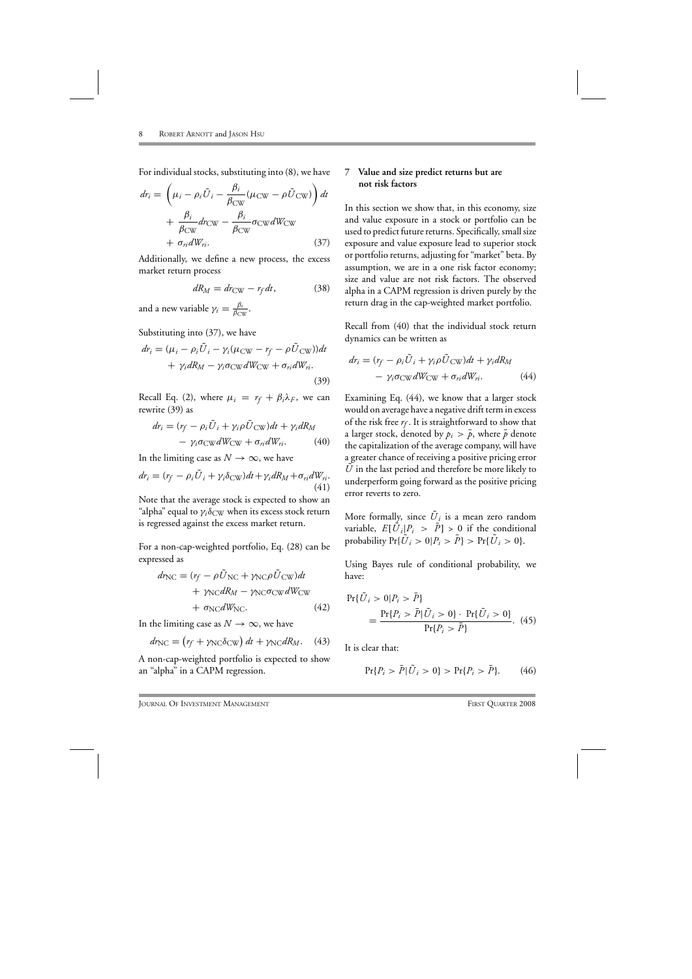For individual stocks, substituting into (8), we have

$$
dr_i = \left(\mu_i - \rho_i \tilde{U}_i - \frac{\beta_i}{\beta_{\text{CW}}} (\mu_{\text{CW}} - \rho \tilde{U}_{\text{CW}})\right) dt + \frac{\beta_i}{\beta_{\text{CW}}} dr_{\text{CW}} - \frac{\beta_i}{\beta_{\text{CW}}} \sigma_{\text{CW}} dW_{\text{CW}} + \sigma_{ri} dW_{ri}.
$$
 (37)

Additionally, we define a new process, the excess market return process

$$
dR_M = dr_{\text{CW}} - r_f dt, \qquad (38)
$$

and a new variable  $\gamma_i = \frac{\beta_i}{\beta_{\rm CW}}$ .

Substituting into (37), we have

$$
dr_i = (\mu_i - \rho_i \tilde{U}_i - \gamma_i (\mu_{\text{CW}} - r_f - \rho \tilde{U}_{\text{CW}}))dt + \gamma_i dR_M - \gamma_i \sigma_{\text{CW}} dW_{\text{CW}} + \sigma_{ri} dW_{ri}.
$$
\n(39)

Recall Eq. (2), where  $\mu_i = r_f + \beta_i \lambda_F$ , we can rewrite (39) as

$$
dr_i = (r_f - \rho_i \tilde{U}_i + \gamma_i \rho \tilde{U}_{\text{CW}})dt + \gamma_i dR_M
$$

$$
- \gamma_i \sigma_{\text{CW}} dW_{\text{CW}} + \sigma_{ri} dW_{ri}. \tag{40}
$$

In the limiting case as  $N \to \infty$ , we have

$$
dr_i = (r_f - \rho_i \tilde{U}_i + \gamma_i \delta_{\text{CW}})dt + \gamma_i dR_M + \sigma_{ri} dW_{ri}.
$$
\n(41)

Note that the average stock is expected to show an "alpha" equal to  $\gamma_i\delta_{\rm CW}$  when its excess stock return is regressed against the excess market return.

For a non-cap-weighted portfolio, Eq. (28) can be expressed as

$$
dr_{\rm NC} = (r_f - \rho \tilde{U}_{\rm NC} + \gamma_{\rm NC} \rho \tilde{U}_{\rm CW}) dt + \gamma_{\rm NC} dR_M - \gamma_{\rm NC} \sigma_{\rm CW} dW_{\rm CW} + \sigma_{\rm NC} dW_{\rm NC}.
$$
 (42)

In the limiting case as  $N \to \infty$ , we have

$$
dr_{\rm NC} = (r_f + \gamma_{\rm NC} \delta_{\rm CW}) dt + \gamma_{\rm NC} dR_M. \quad (43)
$$

A non-cap-weighted portfolio is expected to show an "alpha" in a CAPM regression.

## **7 Value and size predict returns but are not risk factors**

In this section we show that, in this economy, size and value exposure in a stock or portfolio can be used to predict future returns. Specifically, small size exposure and value exposure lead to superior stock or portfolio returns, adjusting for "market" beta. By assumption, we are in a one risk factor economy; size and value are not risk factors. The observed alpha in a CAPM regression is driven purely by the return drag in the cap-weighted market portfolio.

Recall from (40) that the individual stock return dynamics can be written as

$$
dr_i = (r_f - \rho_i \tilde{U}_i + \gamma_i \rho \tilde{U}_{\text{CW}})dt + \gamma_i dR_M
$$

$$
- \gamma_i \sigma_{\text{CW}} dW_{\text{CW}} + \sigma_{ri} dW_{ri}.
$$
(44)

Examining Eq. (44), we know that a larger stock would on average have a negative drift term in excess of the risk free  $r_f$ . It is straightforward to show that a larger stock, denoted by  $p_i > \bar{p}$ , where  $\bar{p}$  denote the capitalization of the average company, will have a greater chance of receiving a positive pricing error *U* in the last period and therefore be more likely to underperform going forward as the positive pricing error reverts to zero.

More formally, since  $U_i$  is a mean zero random variable,  $E[\tilde{U}_i|P_i > \overline{P}] > 0$  if the conditional probability  $Pr{\{\tilde{U}_i > 0 | P_i > \bar{P}\}} > Pr{\{\tilde{U}_i > 0\}}.$ 

Using Bayes rule of conditional probability, we have:

$$
Pr{\tilde{U}_i > 0 | P_i > \bar{P}}
$$
  
= 
$$
\frac{Pr{P_i > \bar{P}|\tilde{U}_i > 0} \cdot Pr{\tilde{U}_i > 0}}{Pr{P_i > \bar{P}}}
$$
. (45)

It is clear that:

$$
\Pr\{P_i > \bar{P} | \tilde{U}_i > 0\} > \Pr\{P_i > \bar{P}\}. \tag{46}
$$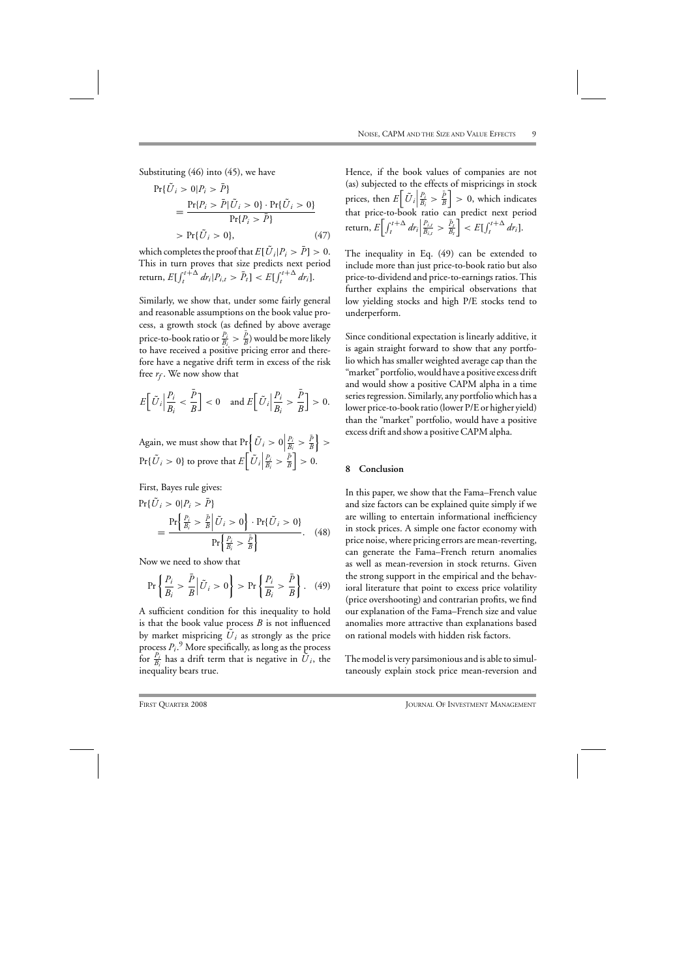Substituting (46) into (45), we have

$$
Pr{\tilde{U}_i > 0 | P_i > \bar{P}}= \frac{Pr{P_i > \bar{P}|\tilde{U}_i > 0} \cdot Pr{\tilde{U}_i > 0}}{Pr{P_i > \bar{P}}}> Pr{\tilde{U}_i > 0},
$$
(47)

which completes the proof that  $E[\tilde{U}_i|P_i > \bar{P}] > 0$ . This in turn proves that size predicts next period return,  $E[\int_{t}^{t+\Delta} dr_i | P_{i,t} > \bar{P}_t] < E[\int_{t}^{t+\Delta} dr_i].$ 

Similarly, we show that, under some fairly general and reasonable assumptions on the book value process, a growth stock (as defined by above average price-to-book ratio or  $\frac{P_i}{B_i} > \frac{\bar{P}}{B}$  would be more likely to have received a positive pricing error and therefore have a negative drift term in excess of the risk free  $r_f$ . We now show that

$$
E\Big[\tilde{U}_i\Big|\frac{P_i}{B_i} < \frac{\bar{P}}{B}\Big] < 0 \quad \text{and } E\Big[\tilde{U}_i\Big|\frac{P_i}{B_i} > \frac{\bar{P}}{B}\Big] > 0.
$$

Again, we must show that  $Pr\left\{\tilde{U}_i > 0\right\}$ *Pi*  $\frac{P_i}{B_i} > \frac{\bar{P}}{B}$  $\Big\}$  $\Pr{\lbrace \tilde{U}_i > 0 \rbrace}$  to prove that  $E\left[ \tilde{U}_i \right]$ *Pi*  $\frac{P_i}{B_i} > \frac{\bar{P}}{B}$  $\Big] > 0.$ 

First, Bayes rule gives:

$$
Pr{\tilde{U}_i > 0 | P_i > \bar{P}}
$$
  
= 
$$
\frac{Pr{\frac{P_i}{B_i} > \frac{\bar{P}}{B} | \tilde{U}_i > 0} \cdot Pr{\tilde{U}_i > 0}}{Pr{\frac{P_i}{B_i} > \frac{\bar{P}}{B}}}
$$
. (48)

Now we need to show that

$$
\Pr\left\{\frac{P_i}{B_i} > \frac{\bar{P}}{B} \middle| \tilde{U}_i > 0 \right\} > \Pr\left\{\frac{P_i}{B_i} > \frac{\bar{P}}{B}\right\}.\tag{49}
$$

A sufficient condition for this inequality to hold is that the book value process *B* is not influenced by market mispricing  $U_i$  as strongly as the price process *Pi*. <sup>9</sup> More specifically, as long as the process for  $\frac{P_i}{B_i}$  has a drift term that is negative in  $\tilde{U}_i$ , the inequality bears true.

Hence, if the book values of companies are not (as) subjected to the effects of mispricings in stock prices, then  $E\left[\tilde{U}_i\right]$ *Pi*  $\frac{P_i}{B_i} > \frac{\bar{P}}{B}$  $\big] > 0$ , which indicates that price-to-book ratio can predict next period return,  $E\left[\int_t^{t+\Delta} dr_i\right]$  $\frac{P_{i,t}}{B_{i,t}} > \frac{\bar{P}_t}{B_t}$  $\left| \sum_{t=1}^{t} f(t) \right|^{t+\Delta} dr_i$ .

The inequality in Eq. (49) can be extended to include more than just price-to-book ratio but also price-to-dividend and price-to-earnings ratios. This further explains the empirical observations that low yielding stocks and high P/E stocks tend to underperform.

Since conditional expectation is linearly additive, it is again straight forward to show that any portfolio which has smaller weighted average cap than the "market" portfolio, would have a positive excess drift and would show a positive CAPM alpha in a time series regression. Similarly, any portfolio which has a lower price-to-book ratio (lower P/E or higher yield) than the "market" portfolio, would have a positive excess drift and show a positive CAPM alpha.

## **8 Conclusion**

In this paper, we show that the Fama–French value and size factors can be explained quite simply if we are willing to entertain informational inefficiency in stock prices. A simple one factor economy with price noise, where pricing errors are mean-reverting, can generate the Fama–French return anomalies as well as mean-reversion in stock returns. Given the strong support in the empirical and the behavioral literature that point to excess price volatility (price overshooting) and contrarian profits, we find our explanation of the Fama–French size and value anomalies more attractive than explanations based on rational models with hidden risk factors.

The model is very parsimonious and is able to simultaneously explain stock price mean-reversion and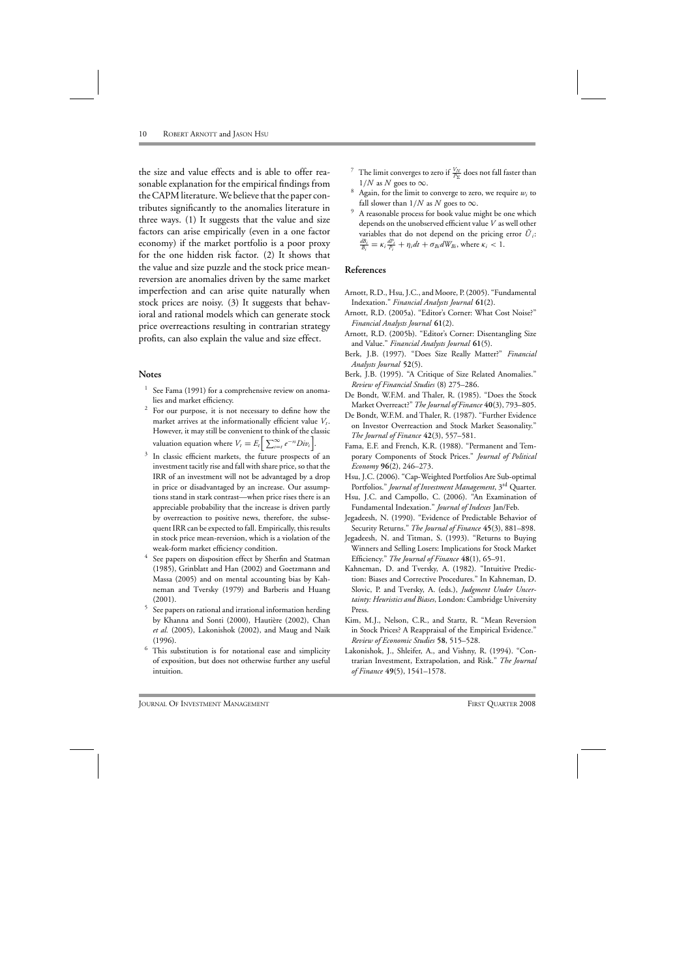the size and value effects and is able to offer reasonable explanation for the empirical findings from the CAPM literature. We believe that the paper contributes significantly to the anomalies literature in three ways. (1) It suggests that the value and size factors can arise empirically (even in a one factor economy) if the market portfolio is a poor proxy for the one hidden risk factor. (2) It shows that the value and size puzzle and the stock price meanreversion are anomalies driven by the same market imperfection and can arise quite naturally when stock prices are noisy. (3) It suggests that behavioral and rational models which can generate stock price overreactions resulting in contrarian strategy profits, can also explain the value and size effect.

#### **Notes**

- <sup>1</sup> See Fama (1991) for a comprehensive review on anomalies and market efficiency.
- $2$  For our purpose, it is not necessary to define how the market arrives at the informationally efficient value  $V_t$ . However, it may still be convenient to think of the classic valuation equation where  $V_t = E_t \left[ \sum_{s=t}^{\infty} e^{-rs} Div_s \right]$ .
- <sup>3</sup> In classic efficient markets, the future prospects of an investment tacitly rise and fall with share price, so that the IRR of an investment will not be advantaged by a drop in price or disadvantaged by an increase. Our assumptions stand in stark contrast—when price rises there is an appreciable probability that the increase is driven partly by overreaction to positive news, therefore, the subsequent IRR can be expected to fall. Empirically, this results in stock price mean-reversion, which is a violation of the weak-form market efficiency condition.
- See papers on disposition effect by Sherfin and Statman (1985), Grinblatt and Han (2002) and Goetzmann and Massa (2005) and on mental accounting bias by Kahneman and Tversky (1979) and Barberis and Huang (2001).
- <sup>5</sup> See papers on rational and irrational information herding by Khanna and Sonti (2000), Hautière (2002), Chan *et al.* (2005), Lakonishok (2002), and Maug and Naik (1996).
- $6$  This substitution is for notational ease and simplicity of exposition, but does not otherwise further any useful intuition.
- <sup>7</sup> The limit converges to zero if  $\frac{V_N}{P_\Sigma}$  does not fall faster than  $1/N$  as N goes to  $\infty$ .
- $8$  Again, for the limit to converge to zero, we require  $w_i$  to fall slower than  $1/N$  as N goes to  $\infty$ .
- A reasonable process for book value might be one which depends on the unobserved efficient value *V* as well other variables that do not depend on the pricing error  $U_i$ :  $\frac{dB_i}{B_i} = \kappa_i \frac{dP_i}{P_i} + \eta_i dt + \sigma_{Bi} dW_{Bi}$ , where  $\kappa_i < 1$ .

## **References**

- Arnott, R.D., Hsu, J.C., and Moore, P. (2005). "Fundamental Indexation." *Financial Analysts Journal* **61**(2).
- Arnott, R.D. (2005a). "Editor's Corner: What Cost Noise?" *Financial Analysts Journal* **61**(2).
- Arnott, R.D. (2005b). "Editor's Corner: Disentangling Size and Value." *Financial Analysts Journal* **61**(5).
- Berk, J.B. (1997). "Does Size Really Matter?" *Financial Analysts Journal* **52**(5).
- Berk, J.B. (1995). "A Critique of Size Related Anomalies." *Review of Financial Studies* (8) 275–286.
- De Bondt, W.F.M. and Thaler, R. (1985). "Does the Stock Market Overreact?"*The Journal of Finance* **40**(3), 793–805.
- De Bondt, W.F.M. and Thaler, R. (1987). "Further Evidence on Investor Overreaction and Stock Market Seasonality." *The Journal of Finance* **42**(3), 557–581.
- Fama, E.F. and French, K.R. (1988). "Permanent and Temporary Components of Stock Prices." *Journal of Political Economy* **96**(2), 246–273.
- Hsu, J.C. (2006). "Cap-Weighted Portfolios Are Sub-optimal Portfolios." *Journal of Investment Management*, 3rd Quarter.
- Hsu, J.C. and Campollo, C. (2006). "An Examination of Fundamental Indexation." *Journal of Indexes* Jan/Feb.
- Jegadeesh, N. (1990). "Evidence of Predictable Behavior of Security Returns." *The Journal of Finance* **45**(3), 881–898.
- Jegadeesh, N. and Titman, S. (1993). "Returns to Buying Winners and Selling Losers: Implications for Stock Market Efficiency." *The Journal of Finance* **48**(1), 65–91.
- Kahneman, D. and Tversky, A. (1982). "Intuitive Prediction: Biases and Corrective Procedures." In Kahneman, D. Slovic, P. and Tversky, A. (eds.), *Judgment Under Uncertainty: Heuristics and Biases*, London: Cambridge University Press.
- Kim, M.J., Nelson, C.R., and Startz, R. "Mean Reversion in Stock Prices? A Reappraisal of the Empirical Evidence." *Review of Economic Studies* **58**, 515–528.
- Lakonishok, J., Shleifer, A., and Vishny, R. (1994). "Contrarian Investment, Extrapolation, and Risk." *The Journal of Finance* **49**(5), 1541–1578.